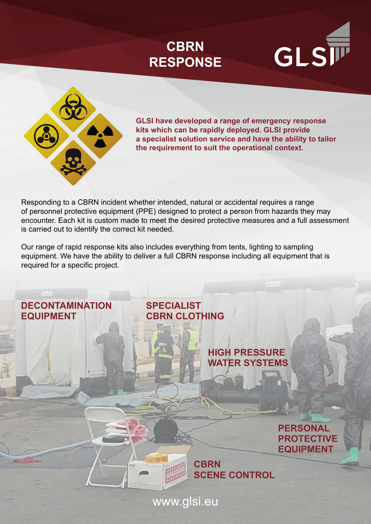





**GLSI have developed a range of emergency response kits which can be rapidly deployed. GLSI provide a specialist solution service and have the ability to tailor the requirement to suit the operational context.**

Responding to a CBRN incident whether intended, natural or accidental requires a range of personnel protective equipment (PPE) designed to protect a person from hazards they may encounter. Each kit is custom made to meet the desired protective measures and a full assessment is carried out to identify the correct kit needed.

Our range of rapid response kits also includes everything from tents, lighting to sampling equipment. We have the ability to deliver a full CBRN response including all equipment that is required for a specific project.